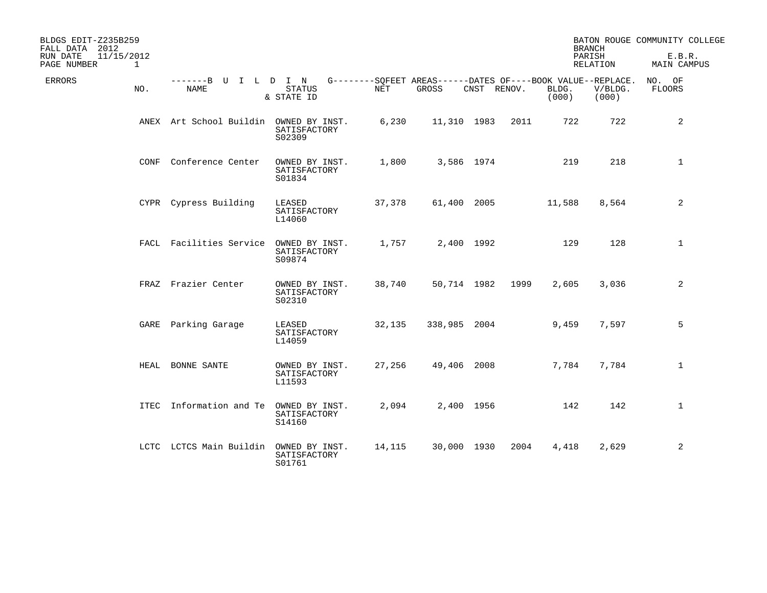| BLDGS EDIT-Z235B259<br>FALL DATA 2012 |              |                                        |                                          |        |                                                                      |             | <b>BRANCH</b> |                | BATON ROUGE COMMUNITY COLLEGE |                       |
|---------------------------------------|--------------|----------------------------------------|------------------------------------------|--------|----------------------------------------------------------------------|-------------|---------------|----------------|-------------------------------|-----------------------|
| 11/15/2012<br>RUN DATE<br>PAGE NUMBER | $\mathbf{1}$ |                                        |                                          |        |                                                                      |             |               |                | PARISH<br>RELATION            | E.B.R.<br>MAIN CAMPUS |
| ERRORS                                | NO.          | -------B U I L D I N<br>NAME           | <b>STATUS</b><br>& STATE ID              | NET    | G--------SOFEET AREAS------DATES OF----BOOK VALUE--REPLACE.<br>GROSS | CNST RENOV. |               | BLDG.<br>(000) | V/BLDG.<br>(000)              | NO. OF<br>FLOORS      |
|                                       |              | ANEX Art School Buildin OWNED BY INST. | SATISFACTORY<br>S02309                   | 6,230  | 11,310 1983                                                          |             | 2011          | 722            | 722                           | 2                     |
|                                       | CONF         | Conference Center                      | OWNED BY INST.<br>SATISFACTORY<br>S01834 | 1,800  |                                                                      | 3,586 1974  |               | 219            | 218                           | $\mathbf{1}$          |
|                                       |              | CYPR Cypress Building                  | LEASED<br>SATISFACTORY<br>L14060         | 37,378 |                                                                      | 61,400 2005 |               | 11,588         | 8,564                         | 2                     |
|                                       |              | FACL Facilities Service                | OWNED BY INST.<br>SATISFACTORY<br>S09874 | 1,757  |                                                                      | 2,400 1992  |               | 129            | 128                           | $\mathbf{1}$          |
|                                       |              | FRAZ Frazier Center                    | OWNED BY INST.<br>SATISFACTORY<br>S02310 | 38,740 |                                                                      | 50,714 1982 | 1999          | 2,605          | 3,036                         | 2                     |
|                                       |              | GARE Parking Garage                    | LEASED<br>SATISFACTORY<br>L14059         | 32,135 | 338,985 2004                                                         |             |               | 9,459          | 7,597                         | 5                     |
|                                       | HEAL         | BONNE SANTE                            | OWNED BY INST.<br>SATISFACTORY<br>L11593 | 27,256 | 49,406 2008                                                          |             |               | 7,784          | 7,784                         | $\mathbf{1}$          |
|                                       |              | ITEC Information and Te                | OWNED BY INST.<br>SATISFACTORY<br>S14160 | 2,094  |                                                                      | 2,400 1956  |               | 142            | 142                           | $\mathbf 1$           |
|                                       |              | LCTC LCTCS Main Buildin                | OWNED BY INST.<br>SATISFACTORY<br>S01761 | 14,115 |                                                                      | 30,000 1930 | 2004          | 4,418          | 2,629                         | 2                     |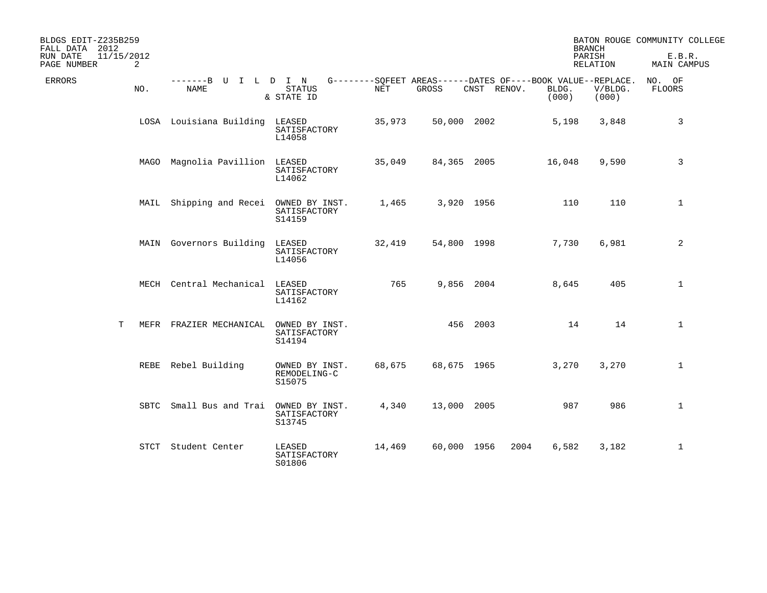| BLDGS EDIT-Z235B259<br>FALL DATA 2012      |      |                                        |                                          |        |             |             |                | <b>BRANCH</b>                                                                   | BATON ROUGE COMMUNITY COLLEGE |
|--------------------------------------------|------|----------------------------------------|------------------------------------------|--------|-------------|-------------|----------------|---------------------------------------------------------------------------------|-------------------------------|
| 11/15/2012<br>RUN DATE<br>PAGE NUMBER<br>2 |      |                                        |                                          |        |             |             |                | PARISH<br>RELATION                                                              | E.B.R.<br><b>MAIN CAMPUS</b>  |
| <b>ERRORS</b>                              | NO.  | -------B U I L D I N<br><b>NAME</b>    | <b>STATUS</b><br>& STATE ID              | NET    | GROSS       | CNST RENOV. | BLDG.<br>(000) | G--------SQFEET AREAS------DATES OF----BOOK VALUE--REPLACE.<br>V/BLDG.<br>(000) | NO. OF<br>FLOORS              |
|                                            |      | LOSA Louisiana Building                | LEASED<br>SATISFACTORY<br>L14058         | 35,973 | 50,000 2002 |             | 5,198          | 3,848                                                                           | 3                             |
|                                            |      | MAGO Magnolia Pavillion LEASED         | SATISFACTORY<br>L14062                   | 35,049 | 84,365 2005 |             | 16,048         | 9,590                                                                           | 3                             |
|                                            |      | MAIL Shipping and Recei OWNED BY INST. | SATISFACTORY<br>S14159                   | 1,465  |             | 3,920 1956  |                | 110<br>110                                                                      | 1                             |
|                                            |      | MAIN Governors Building                | LEASED<br>SATISFACTORY<br>L14056         | 32,419 | 54,800 1998 |             | 7,730          | 6,981                                                                           | 2                             |
|                                            |      | MECH Central Mechanical                | LEASED<br>SATISFACTORY<br>L14162         | 765    |             | 9,856 2004  | 8,645          | 405                                                                             | $\mathbf{1}$                  |
| т                                          |      | MEFR FRAZIER MECHANICAL                | OWNED BY INST.<br>SATISFACTORY<br>S14194 |        |             | 456 2003    |                | 14<br>14                                                                        | $\mathbf{1}$                  |
|                                            |      | REBE Rebel Building                    | OWNED BY INST.<br>REMODELING-C<br>S15075 | 68,675 | 68,675 1965 |             | 3,270          | 3,270                                                                           | $\mathbf{1}$                  |
|                                            | SBTC | Small Bus and Trai                     | OWNED BY INST.<br>SATISFACTORY<br>S13745 | 4,340  | 13,000 2005 |             |                | 986<br>987                                                                      | $\mathbf{1}$                  |
|                                            |      | STCT Student Center                    | LEASED<br>SATISFACTORY<br>S01806         | 14,469 | 60,000 1956 |             | 6,582<br>2004  | 3,182                                                                           | 1                             |